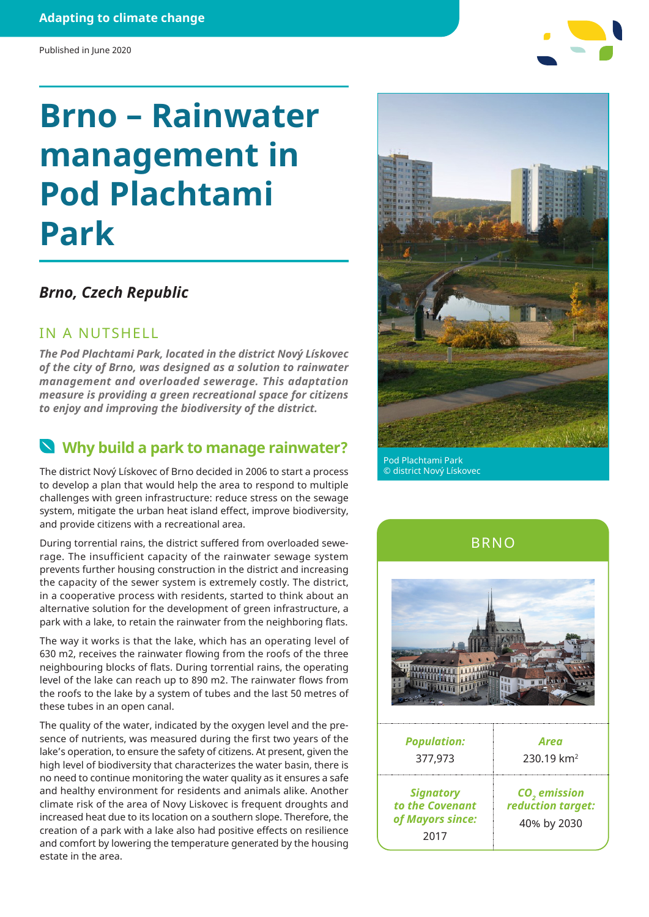# **Brno – Rainwater management in Pod Plachtami Park**

#### *Brno, Czech Republic*

#### IN A NUTSHELL

*The Pod Plachtami Park, located in the district Nový Lískovec of the city of Brno, was designed as a solution to rainwater management and overloaded sewerage. This adaptation measure is providing a green recreational space for citizens to enjoy and improving the biodiversity of the district.*

### **Why build a park to manage rainwater?**

The district Nový Lískovec of Brno decided in 2006 to start a process to develop a plan that would help the area to respond to multiple challenges with green infrastructure: reduce stress on the sewage system, mitigate the urban heat island effect, improve biodiversity, and provide citizens with a recreational area.

During torrential rains, the district suffered from overloaded sewerage. The insufficient capacity of the rainwater sewage system prevents further housing construction in the district and increasing the capacity of the sewer system is extremely costly. The district, in a cooperative process with residents, started to think about an alternative solution for the development of green infrastructure, a park with a lake, to retain the rainwater from the neighboring flats.

The way it works is that the lake, which has an operating level of 630 m2, receives the rainwater flowing from the roofs of the three neighbouring blocks of flats. During torrential rains, the operating level of the lake can reach up to 890 m2. The rainwater flows from the roofs to the lake by a system of tubes and the last 50 metres of these tubes in an open canal.

The quality of the water, indicated by the oxygen level and the presence of nutrients, was measured during the first two years of the lake's operation, to ensure the safety of citizens. At present, given the high level of biodiversity that characterizes the water basin, there is no need to continue monitoring the water quality as it ensures a safe and healthy environment for residents and animals alike. Another climate risk of the area of Novy Liskovec is frequent droughts and increased heat due to its location on a southern slope. Therefore, the creation of a park with a lake also had positive effects on resilience and comfort by lowering the temperature generated by the housing estate in the area.



Pod Plachtami Park © district Nový Lískovec



BRNO

| <b>Population:</b>                                              | Area                                                         |
|-----------------------------------------------------------------|--------------------------------------------------------------|
| 377,973                                                         | $230.19$ km <sup>2</sup>                                     |
| <b>Signatory</b><br>to the Covenant<br>of Mayors since:<br>2017 | CO <sub>2</sub> emission<br>reduction target:<br>40% by 2030 |